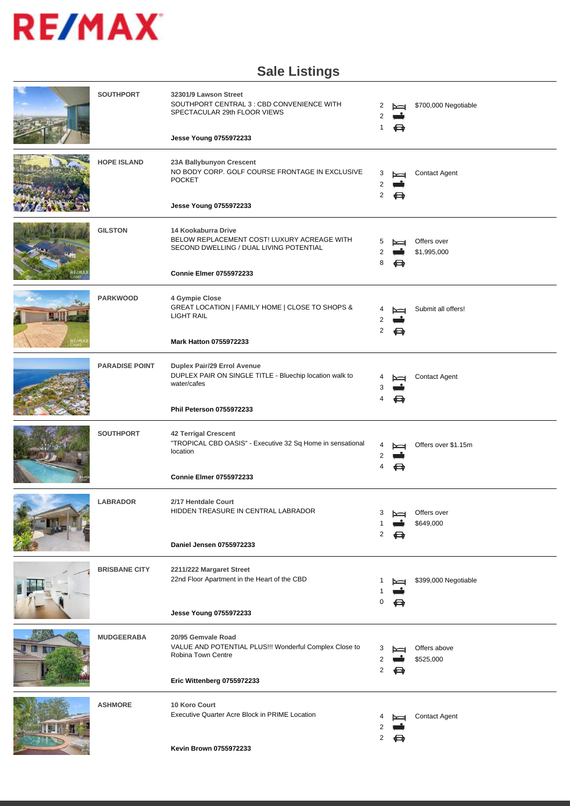

## **Sale Listings**

| <b>SOUTHPORT</b>      | 32301/9 Lawson Street<br>SOUTHPORT CENTRAL 3 : CBD CONVENIENCE WITH<br>SPECTACULAR 29th FLOOR VIEWS<br>Jesse Young 0755972233                   | 2<br>2<br>1 | $\overline{}$<br>⇔ | \$700,000 Negotiable           |
|-----------------------|-------------------------------------------------------------------------------------------------------------------------------------------------|-------------|--------------------|--------------------------------|
| <b>HOPE ISLAND</b>    | 23A Ballybunyon Crescent<br>NO BODY CORP. GOLF COURSE FRONTAGE IN EXCLUSIVE<br><b>POCKET</b><br>Jesse Young 0755972233                          | 3<br>2<br>2 | N<br>⇔             | <b>Contact Agent</b>           |
| <b>GILSTON</b>        | 14 Kookaburra Drive<br>BELOW REPLACEMENT COST! LUXURY ACREAGE WITH<br>SECOND DWELLING / DUAL LIVING POTENTIAL<br><b>Connie Elmer 0755972233</b> | 8           | ⇔                  | Offers over<br>\$1,995,000     |
| <b>PARKWOOD</b>       | 4 Gympie Close<br>GREAT LOCATION   FAMILY HOME   CLOSE TO SHOPS &<br>LIGHT RAIL<br>Mark Hatton 0755972233                                       | 2           | ⇔                  | Submit all offers!             |
| <b>PARADISE POINT</b> | Duplex Pair/29 Errol Avenue<br>DUPLEX PAIR ON SINGLE TITLE - Bluechip location walk to<br>water/cafes<br>Phil Peterson 0755972233               | 4           |                    | <b>Contact Agent</b>           |
| <b>SOUTHPORT</b>      | <b>42 Terrigal Crescent</b><br>"TROPICAL CBD OASIS" - Executive 32 Sq Home in sensational<br>location<br><b>Connie Elmer 0755972233</b>         | 4           | ⇔                  | Offers over \$1.15m            |
| <b>LABRADOR</b>       | 2/17 Hentdale Court<br>HIDDEN TREASURE IN CENTRAL LABRADOR<br>Daniel Jensen 0755972233                                                          | 2           | ⇔                  | 3 bed Offers over<br>\$649,000 |
| <b>BRISBANE CITY</b>  | 2211/222 Margaret Street<br>22nd Floor Apartment in the Heart of the CBD<br>Jesse Young 0755972233                                              | 0           | ⇔                  | \$399,000 Negotiable           |
| <b>MUDGEERABA</b>     | 20/95 Gemvale Road<br>VALUE AND POTENTIAL PLUS !!! Wonderful Complex Close to<br>Robina Town Centre<br>Eric Wittenberg 0755972233               | 2           | ⇔                  | Offers above<br>\$525,000      |
| <b>ASHMORE</b>        | 10 Koro Court<br>Executive Quarter Acre Block in PRIME Location<br>Kevin Brown 0755972233                                                       | 2           |                    | <b>Contact Agent</b>           |